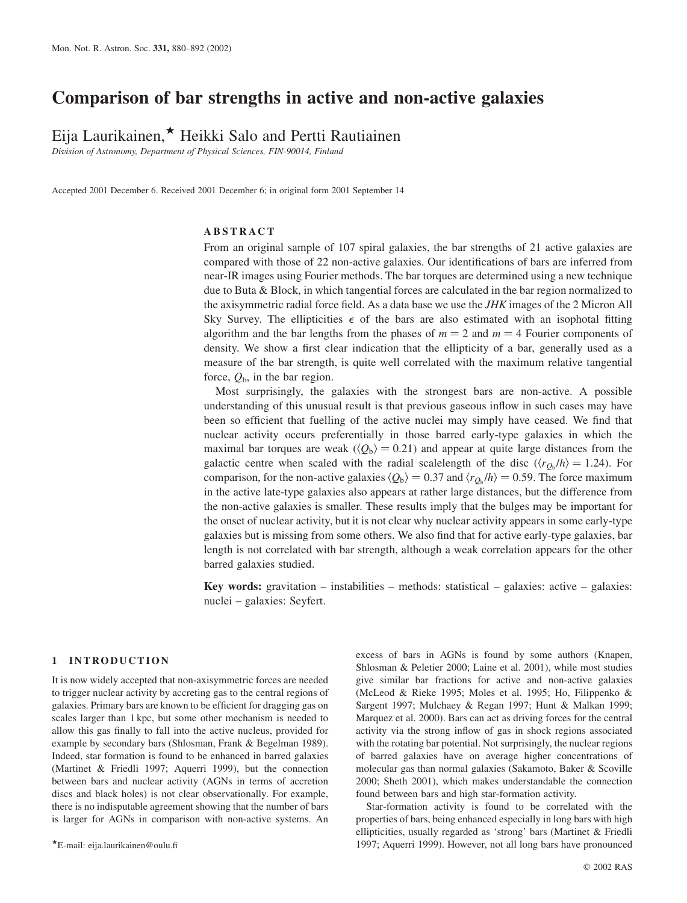# Comparison of bar strengths in active and non-active galaxies

Eija Laurikainen, $\star$  Heikki Salo and Pertti Rautiainen

Division of Astronomy, Department of Physical Sciences, FIN-90014, Finland

Accepted 2001 December 6. Received 2001 December 6; in original form 2001 September 14

#### ABSTRACT

From an original sample of 107 spiral galaxies, the bar strengths of 21 active galaxies are compared with those of 22 non-active galaxies. Our identifications of bars are inferred from near-IR images using Fourier methods. The bar torques are determined using a new technique due to Buta & Block, in which tangential forces are calculated in the bar region normalized to the axisymmetric radial force field. As a data base we use the  $JHK$  images of the 2 Micron All Sky Survey. The ellipticities  $\epsilon$  of the bars are also estimated with an isophotal fitting algorithm and the bar lengths from the phases of  $m = 2$  and  $m = 4$  Fourier components of density. We show a first clear indication that the ellipticity of a bar, generally used as a measure of the bar strength, is quite well correlated with the maximum relative tangential force,  $Q_{\rm b}$ , in the bar region.

Most surprisingly, the galaxies with the strongest bars are non-active. A possible understanding of this unusual result is that previous gaseous inflow in such cases may have been so efficient that fuelling of the active nuclei may simply have ceased. We find that nuclear activity occurs preferentially in those barred early-type galaxies in which the maximal bar torques are weak  $(\langle Q_{b} \rangle = 0.21)$  and appear at quite large distances from the galactic centre when scaled with the radial scalelength of the disc  $\langle \langle r_{Q_b}/h \rangle = 1.24$ ). For comparison, for the non-active galaxies  $\langle Q_b \rangle = 0.37$  and  $\langle r_{Q_b} / h \rangle = 0.59$ . The force maximum in the active late-type galaxies also appears at rather large distances, but the difference from the non-active galaxies is smaller. These results imply that the bulges may be important for the onset of nuclear activity, but it is not clear why nuclear activity appears in some early-type galaxies but is missing from some others. We also find that for active early-type galaxies, bar length is not correlated with bar strength, although a weak correlation appears for the other barred galaxies studied.

**Key words:** gravitation – instabilities – methods: statistical – galaxies: active – galaxies: nuclei – galaxies: Seyfert.

#### 1 INTRODUCTION

It is now widely accepted that non-axisymmetric forces are needed to trigger nuclear activity by accreting gas to the central regions of galaxies. Primary bars are known to be efficient for dragging gas on scales larger than 1 kpc, but some other mechanism is needed to allow this gas finally to fall into the active nucleus, provided for example by secondary bars (Shlosman, Frank & Begelman 1989). Indeed, star formation is found to be enhanced in barred galaxies (Martinet & Friedli 1997; Aquerri 1999), but the connection between bars and nuclear activity (AGNs in terms of accretion discs and black holes) is not clear observationally. For example, there is no indisputable agreement showing that the number of bars is larger for AGNs in comparison with non-active systems. An excess of bars in AGNs is found by some authors (Knapen, Shlosman & Peletier 2000; Laine et al. 2001), while most studies give similar bar fractions for active and non-active galaxies (McLeod & Rieke 1995; Moles et al. 1995; Ho, Filippenko & Sargent 1997; Mulchaey & Regan 1997; Hunt & Malkan 1999; Marquez et al. 2000). Bars can act as driving forces for the central activity via the strong inflow of gas in shock regions associated with the rotating bar potential. Not surprisingly, the nuclear regions of barred galaxies have on average higher concentrations of molecular gas than normal galaxies (Sakamoto, Baker & Scoville 2000; Sheth 2001), which makes understandable the connection found between bars and high star-formation activity.

Star-formation activity is found to be correlated with the properties of bars, being enhanced especially in long bars with high ellipticities, usually regarded as 'strong' bars (Martinet & Friedli 1997; Aquerri 1999). However, not all long bars have pronounced <sup>P</sup>E-mail: eija.laurikainen@oulu.fi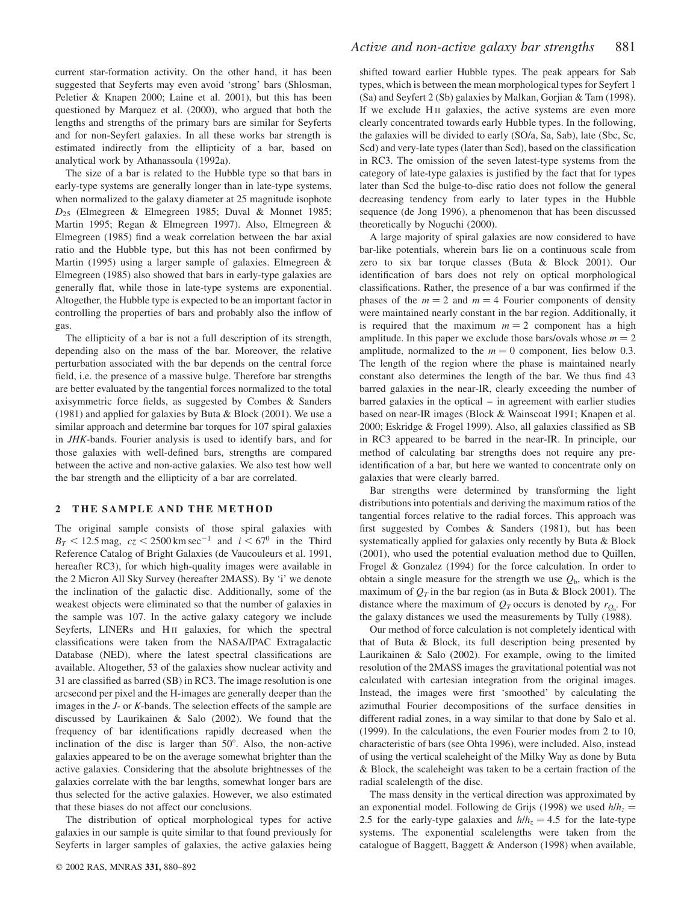current star-formation activity. On the other hand, it has been suggested that Seyferts may even avoid 'strong' bars (Shlosman, Peletier & Knapen 2000; Laine et al. 2001), but this has been questioned by Marquez et al. (2000), who argued that both the lengths and strengths of the primary bars are similar for Seyferts and for non-Seyfert galaxies. In all these works bar strength is estimated indirectly from the ellipticity of a bar, based on analytical work by Athanassoula (1992a).

The size of a bar is related to the Hubble type so that bars in early-type systems are generally longer than in late-type systems, when normalized to the galaxy diameter at 25 magnitude isophote  $D_{25}$  (Elmegreen & Elmegreen 1985; Duval & Monnet 1985; Martin 1995; Regan & Elmegreen 1997). Also, Elmegreen & Elmegreen (1985) find a weak correlation between the bar axial ratio and the Hubble type, but this has not been confirmed by Martin (1995) using a larger sample of galaxies. Elmegreen & Elmegreen (1985) also showed that bars in early-type galaxies are generally flat, while those in late-type systems are exponential. Altogether, the Hubble type is expected to be an important factor in controlling the properties of bars and probably also the inflow of gas.

The ellipticity of a bar is not a full description of its strength, depending also on the mass of the bar. Moreover, the relative perturbation associated with the bar depends on the central force field, i.e. the presence of a massive bulge. Therefore bar strengths are better evaluated by the tangential forces normalized to the total axisymmetric force fields, as suggested by Combes & Sanders (1981) and applied for galaxies by Buta & Block (2001). We use a similar approach and determine bar torques for 107 spiral galaxies in JHK-bands. Fourier analysis is used to identify bars, and for those galaxies with well-defined bars, strengths are compared between the active and non-active galaxies. We also test how well the bar strength and the ellipticity of a bar are correlated.

#### 2 THE SAMPLE AND THE METHOD

The original sample consists of those spiral galaxies with  $B_T < 12.5$  mag,  $cz < 2500$  km sec<sup>-1</sup> and  $i < 67^\circ$  in the Third Reference Catalog of Bright Galaxies (de Vaucouleurs et al. 1991, hereafter RC3), for which high-quality images were available in the 2 Micron All Sky Survey (hereafter 2MASS). By 'i' we denote the inclination of the galactic disc. Additionally, some of the weakest objects were eliminated so that the number of galaxies in the sample was 107. In the active galaxy category we include Seyferts, LINERs and H<sub>II</sub> galaxies, for which the spectral classifications were taken from the NASA/IPAC Extragalactic Database (NED), where the latest spectral classifications are available. Altogether, 53 of the galaxies show nuclear activity and 31 are classified as barred (SB) in RC3. The image resolution is one arcsecond per pixel and the H-images are generally deeper than the images in the J- or K-bands. The selection effects of the sample are discussed by Laurikainen & Salo (2002). We found that the frequency of bar identifications rapidly decreased when the inclination of the disc is larger than  $50^\circ$ . Also, the non-active galaxies appeared to be on the average somewhat brighter than the active galaxies. Considering that the absolute brightnesses of the galaxies correlate with the bar lengths, somewhat longer bars are thus selected for the active galaxies. However, we also estimated that these biases do not affect our conclusions.

The distribution of optical morphological types for active galaxies in our sample is quite similar to that found previously for Seyferts in larger samples of galaxies, the active galaxies being shifted toward earlier Hubble types. The peak appears for Sab types, which is between the mean morphological types for Seyfert 1 (Sa) and Seyfert 2 (Sb) galaxies by Malkan, Gorjian & Tam (1998). If we exclude H II galaxies, the active systems are even more clearly concentrated towards early Hubble types. In the following, the galaxies will be divided to early (SO/a, Sa, Sab), late (Sbc, Sc, Scd) and very-late types (later than Scd), based on the classification in RC3. The omission of the seven latest-type systems from the category of late-type galaxies is justified by the fact that for types later than Scd the bulge-to-disc ratio does not follow the general decreasing tendency from early to later types in the Hubble sequence (de Jong 1996), a phenomenon that has been discussed theoretically by Noguchi (2000).

A large majority of spiral galaxies are now considered to have bar-like potentials, wherein bars lie on a continuous scale from zero to six bar torque classes (Buta & Block 2001). Our identification of bars does not rely on optical morphological classifications. Rather, the presence of a bar was confirmed if the phases of the  $m = 2$  and  $m = 4$  Fourier components of density were maintained nearly constant in the bar region. Additionally, it is required that the maximum  $m = 2$  component has a high amplitude. In this paper we exclude those bars/ovals whose  $m = 2$ amplitude, normalized to the  $m = 0$  component, lies below 0.3. The length of the region where the phase is maintained nearly constant also determines the length of the bar. We thus find 43 barred galaxies in the near-IR, clearly exceeding the number of barred galaxies in the optical – in agreement with earlier studies based on near-IR images (Block & Wainscoat 1991; Knapen et al. 2000; Eskridge & Frogel 1999). Also, all galaxies classified as SB in RC3 appeared to be barred in the near-IR. In principle, our method of calculating bar strengths does not require any preidentification of a bar, but here we wanted to concentrate only on galaxies that were clearly barred.

Bar strengths were determined by transforming the light distributions into potentials and deriving the maximum ratios of the tangential forces relative to the radial forces. This approach was first suggested by Combes & Sanders (1981), but has been systematically applied for galaxies only recently by Buta & Block (2001), who used the potential evaluation method due to Quillen, Frogel & Gonzalez (1994) for the force calculation. In order to obtain a single measure for the strength we use  $Q<sub>b</sub>$ , which is the maximum of  $Q_T$  in the bar region (as in Buta & Block 2001). The distance where the maximum of  $Q_T$  occurs is denoted by  $r_{Q_b}$ . For the galaxy distances we used the measurements by Tully (1988).

Our method of force calculation is not completely identical with that of Buta & Block, its full description being presented by Laurikainen & Salo (2002). For example, owing to the limited resolution of the 2MASS images the gravitational potential was not calculated with cartesian integration from the original images. Instead, the images were first 'smoothed' by calculating the azimuthal Fourier decompositions of the surface densities in different radial zones, in a way similar to that done by Salo et al. (1999). In the calculations, the even Fourier modes from 2 to 10, characteristic of bars (see Ohta 1996), were included. Also, instead of using the vertical scaleheight of the Milky Way as done by Buta & Block, the scaleheight was taken to be a certain fraction of the radial scalelength of the disc.

The mass density in the vertical direction was approximated by an exponential model. Following de Grijs (1998) we used  $h/h<sub>z</sub>$  = 2.5 for the early-type galaxies and  $h/h<sub>z</sub> = 4.5$  for the late-type systems. The exponential scalelengths were taken from the catalogue of Baggett, Baggett & Anderson (1998) when available,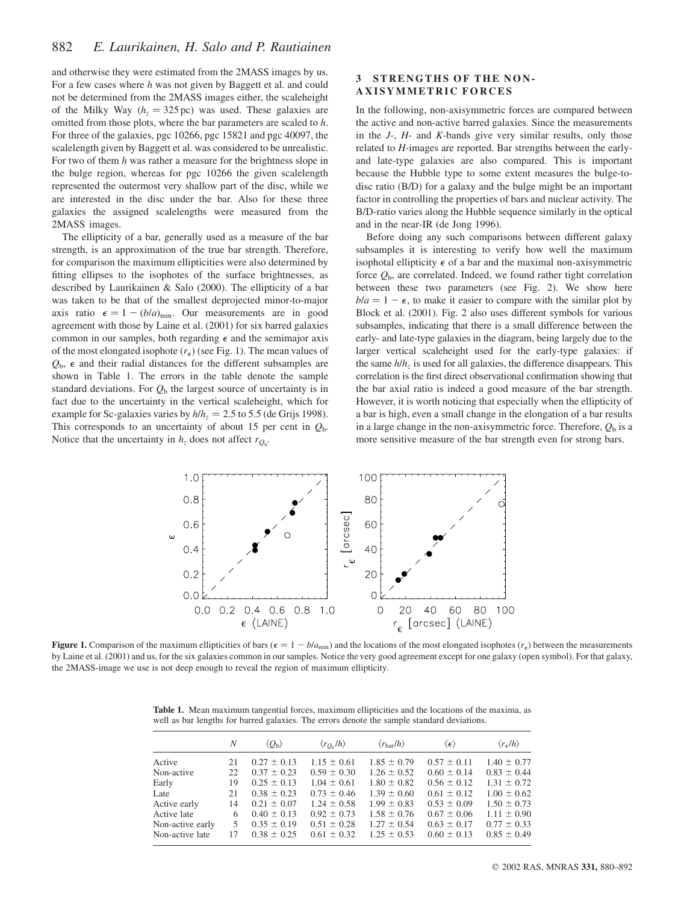and otherwise they were estimated from the 2MASS images by us. For a few cases where h was not given by Baggett et al. and could not be determined from the 2MASS images either, the scaleheight of the Milky Way ( $h<sub>z</sub> = 325$  pc) was used. These galaxies are omitted from those plots, where the bar parameters are scaled to h. For three of the galaxies, pgc 10266, pgc 15821 and pgc 40097, the scalelength given by Baggett et al. was considered to be unrealistic. For two of them h was rather a measure for the brightness slope in the bulge region, whereas for pgc 10266 the given scalelength represented the outermost very shallow part of the disc, while we are interested in the disc under the bar. Also for these three galaxies the assigned scalelengths were measured from the 2MASS images.

The ellipticity of a bar, generally used as a measure of the bar strength, is an approximation of the true bar strength. Therefore, for comparison the maximum ellipticities were also determined by fitting ellipses to the isophotes of the surface brightnesses, as described by Laurikainen & Salo (2000). The ellipticity of a bar was taken to be that of the smallest deprojected minor-to-major axis ratio  $\epsilon = 1 - (b/a)_{\text{min}}$ . Our measurements are in good agreement with those by Laine et al. (2001) for six barred galaxies common in our samples, both regarding  $\epsilon$  and the semimajor axis of the most elongated isophote  $(r_{\epsilon})$  (see Fig. 1). The mean values of  $Q_{\rm b}$ ,  $\epsilon$  and their radial distances for the different subsamples are shown in Table 1. The errors in the table denote the sample standard deviations. For  $Q<sub>b</sub>$  the largest source of uncertainty is in fact due to the uncertainty in the vertical scaleheight, which for example for Sc-galaxies varies by  $h/h<sub>z</sub> = 2.5$  to 5.5 (de Grijs 1998). This corresponds to an uncertainty of about 15 per cent in  $Q<sub>b</sub>$ . Notice that the uncertainty in  $h_z$  does not affect  $r_{Q_b}$ .

## 3 STRENGTHS OF THE NON-AXISYMMETRIC FORCES

In the following, non-axisymmetric forces are compared between the active and non-active barred galaxies. Since the measurements in the  $J<sub>z</sub>$ ,  $H<sub>z</sub>$  and K-bands give very similar results, only those related to H-images are reported. Bar strengths between the earlyand late-type galaxies are also compared. This is important because the Hubble type to some extent measures the bulge-todisc ratio (B/D) for a galaxy and the bulge might be an important factor in controlling the properties of bars and nuclear activity. The B/D-ratio varies along the Hubble sequence similarly in the optical and in the near-IR (de Jong 1996).

Before doing any such comparisons between different galaxy subsamples it is interesting to verify how well the maximum isophotal ellipticity  $\epsilon$  of a bar and the maximal non-axisymmetric force  $Q<sub>b</sub>$ , are correlated. Indeed, we found rather tight correlation between these two parameters (see Fig. 2). We show here  $b/a = 1 - \epsilon$ , to make it easier to compare with the similar plot by Block et al. (2001). Fig. 2 also uses different symbols for various subsamples, indicating that there is a small difference between the early- and late-type galaxies in the diagram, being largely due to the larger vertical scaleheight used for the early-type galaxies: if the same  $h/h<sub>z</sub>$  is used for all galaxies, the difference disappears. This correlation is the first direct observational confirmation showing that the bar axial ratio is indeed a good measure of the bar strength. However, it is worth noticing that especially when the ellipticity of a bar is high, even a small change in the elongation of a bar results in a large change in the non-axisymmetric force. Therefore,  $Q<sub>b</sub>$  is a more sensitive measure of the bar strength even for strong bars.



Figure 1. Comparison of the maximum ellipticities of bars ( $\epsilon = 1 - b/a_{\text{min}}$ ) and the locations of the most elongated isophotes ( $r_{\epsilon}$ ) between the measurements by Laine et al. (2001) and us, for the six galaxies common in our samples. Notice the very good agreement except for one galaxy (open symbol). For that galaxy, the 2MASS-image we use is not deep enough to reveal the region of maximum ellipticity.

Table 1. Mean maximum tangential forces, maximum ellipticities and the locations of the maxima, as well as bar lengths for barred galaxies. The errors denote the sample standard deviations.

|                  | N  | $\langle Q_{\rm b} \rangle$ | $\langle r_{O_h}/h \rangle$ | $\langle r_{\rm bar}/h \rangle$ | $\langle \epsilon \rangle$ | $\langle r_{\epsilon}/h \rangle$ |
|------------------|----|-----------------------------|-----------------------------|---------------------------------|----------------------------|----------------------------------|
| Active           | 21 | $0.27 \pm 0.13$             | $1.15 \pm 0.61$             | $1.85 \pm 0.79$                 | $0.57 \pm 0.11$            | $1.40 \pm 0.77$                  |
| Non-active       | 22 | $0.37 \pm 0.23$             | $0.59 \pm 0.30$             | $1.26 \pm 0.52$                 | $0.60 \pm 0.14$            | $0.83 \pm 0.44$                  |
| Early            | 19 | $0.25 \pm 0.13$             | $1.04 \pm 0.61$             | $1.80 \pm 0.82$                 | $0.56 \pm 0.12$            | $1.31 \pm 0.72$                  |
| Late             | 21 | $0.38 \pm 0.23$             | $0.73 \pm 0.46$             | $1.39 \pm 0.60$                 | $0.61 \pm 0.12$            | $1.00 \pm 0.62$                  |
| Active early     | 14 | $0.21 \pm 0.07$             | $1.24 \pm 0.58$             | $1.99 \pm 0.83$                 | $0.53 \pm 0.09$            | $1.50 \pm 0.73$                  |
| Active late      | 6  | $0.40 \pm 0.13$             | $0.92 \pm 0.73$             | $1.58 \pm 0.76$                 | $0.67 \pm 0.06$            | $1.11 \pm 0.90$                  |
| Non-active early | 5  | $0.35 \pm 0.19$             | $0.51 \pm 0.28$             | $1.27 \pm 0.54$                 | $0.63 \pm 0.17$            | $0.77 \pm 0.33$                  |
| Non-active late  | 17 | $0.38 \pm 0.25$             | $0.61 \pm 0.32$             | $1.25 \pm 0.53$                 | $0.60 \pm 0.13$            | $0.85 \pm 0.49$                  |
|                  |    |                             |                             |                                 |                            |                                  |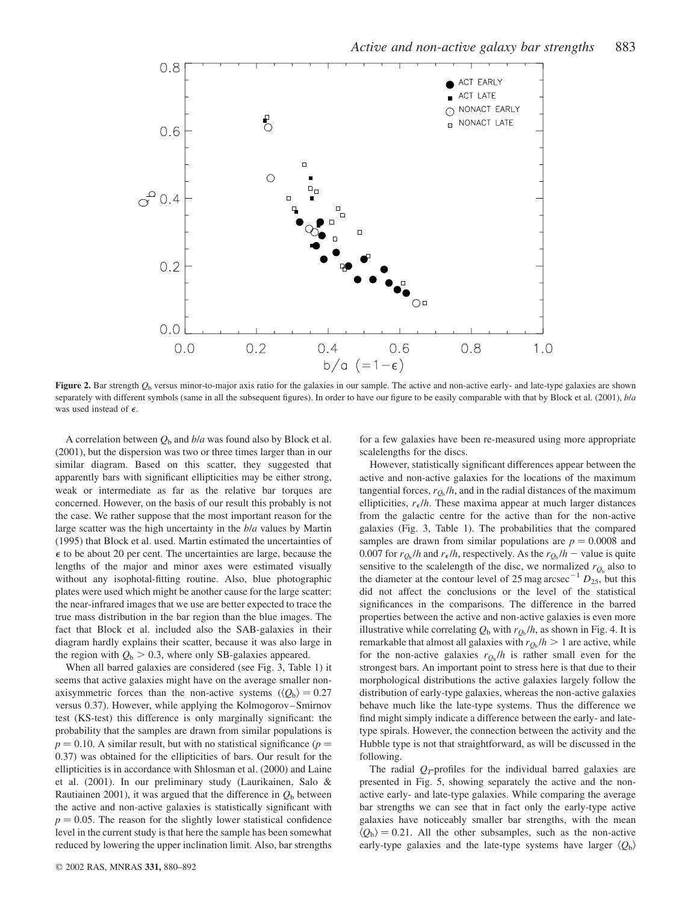

Figure 2. Bar strength  $Q<sub>b</sub>$  versus minor-to-major axis ratio for the galaxies in our sample. The active and non-active early- and late-type galaxies are shown separately with different symbols (same in all the subsequent figures). In order to have our figure to be easily comparable with that by Block et al. (2001),  $bla$ was used instead of  $\epsilon$ .

A correlation between  $Q<sub>b</sub>$  and  $b/a$  was found also by Block et al. (2001), but the dispersion was two or three times larger than in our similar diagram. Based on this scatter, they suggested that apparently bars with significant ellipticities may be either strong, weak or intermediate as far as the relative bar torques are concerned. However, on the basis of our result this probably is not the case. We rather suppose that the most important reason for the large scatter was the high uncertainty in the b/a values by Martin (1995) that Block et al. used. Martin estimated the uncertainties of  $\epsilon$  to be about 20 per cent. The uncertainties are large, because the lengths of the major and minor axes were estimated visually without any isophotal-fitting routine. Also, blue photographic plates were used which might be another cause for the large scatter: the near-infrared images that we use are better expected to trace the true mass distribution in the bar region than the blue images. The fact that Block et al. included also the SAB-galaxies in their diagram hardly explains their scatter, because it was also large in the region with  $Q<sub>b</sub> > 0.3$ , where only SB-galaxies appeared.

When all barred galaxies are considered (see Fig. 3, Table 1) it seems that active galaxies might have on the average smaller nonaxisymmetric forces than the non-active systems  $(\langle Q_{\rm b} \rangle = 0.27)$ versus 0.37). However, while applying the Kolmogorov–Smirnov test (KS-test) this difference is only marginally significant: the probability that the samples are drawn from similar populations is  $p = 0.10$ . A similar result, but with no statistical significance ( $p =$ 0.37) was obtained for the ellipticities of bars. Our result for the ellipticities is in accordance with Shlosman et al. (2000) and Laine et al. (2001). In our preliminary study (Laurikainen, Salo & Rautiainen 2001), it was argued that the difference in  $Q<sub>b</sub>$  between the active and non-active galaxies is statistically significant with  $p = 0.05$ . The reason for the slightly lower statistical confidence level in the current study is that here the sample has been somewhat reduced by lowering the upper inclination limit. Also, bar strengths

for a few galaxies have been re-measured using more appropriate scalelengths for the discs.

However, statistically significant differences appear between the active and non-active galaxies for the locations of the maximum tangential forces,  $r_{O<sub>b</sub>}/h$ , and in the radial distances of the maximum ellipticities,  $r_e/h$ . These maxima appear at much larger distances from the galactic centre for the active than for the non-active galaxies (Fig. 3, Table 1). The probabilities that the compared samples are drawn from similar populations are  $p = 0.0008$  and 0.007 for  $r_{Q_b}/h$  and  $r_{\epsilon}/h$ , respectively. As the  $r_{Q_b}/h$  – value is quite sensitive to the scalelength of the disc, we normalized  $r_{O_b}$  also to the diameter at the contour level of 25 mag arcsec<sup>-1</sup>  $D_{25}$ , but this did not affect the conclusions or the level of the statistical significances in the comparisons. The difference in the barred properties between the active and non-active galaxies is even more illustrative while correlating  $Q_b$  with  $r_{O_b} / h$ , as shown in Fig. 4. It is remarkable that almost all galaxies with  $r_{Q_b} / h > 1$  are active, while for the non-active galaxies  $r_{Q_b}/h$  is rather small even for the strongest bars. An important point to stress here is that due to their morphological distributions the active galaxies largely follow the distribution of early-type galaxies, whereas the non-active galaxies behave much like the late-type systems. Thus the difference we find might simply indicate a difference between the early- and latetype spirals. However, the connection between the activity and the Hubble type is not that straightforward, as will be discussed in the following.

The radial  $Q_T$ -profiles for the individual barred galaxies are presented in Fig. 5, showing separately the active and the nonactive early- and late-type galaxies. While comparing the average bar strengths we can see that in fact only the early-type active galaxies have noticeably smaller bar strengths, with the mean  $\langle Q_{\rm b} \rangle = 0.21$ . All the other subsamples, such as the non-active early-type galaxies and the late-type systems have larger  $\langle Q_{\rm b} \rangle$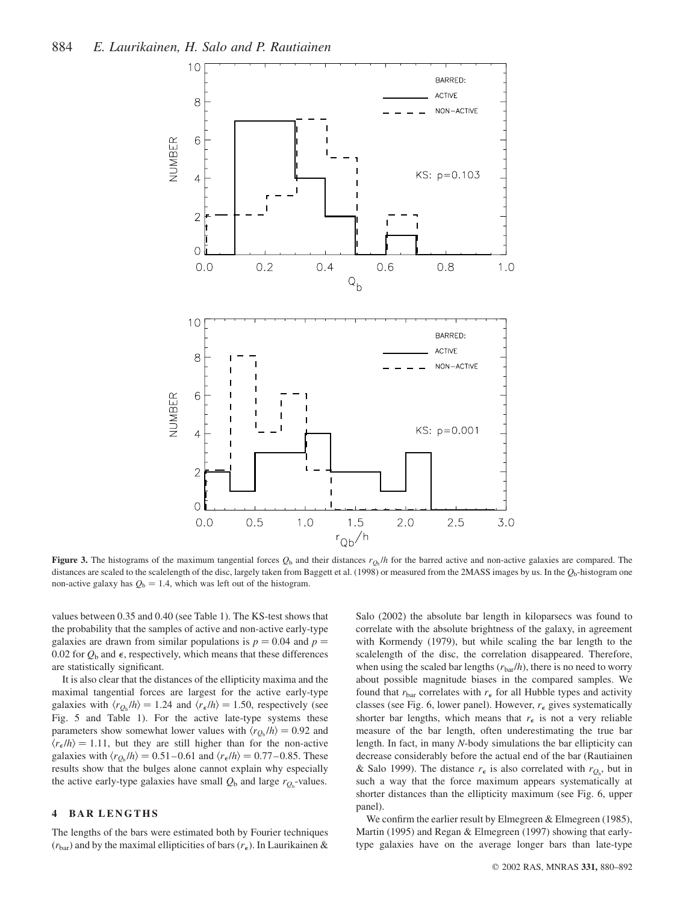

Figure 3. The histograms of the maximum tangential forces  $Q_b$  and their distances  $r_{Q_b}/h$  for the barred active and non-active galaxies are compared. The distances are scaled to the scalelength of the disc, largely taken from Baggett et al. (1998) or measured from the 2MASS images by us. In the  $Q<sub>b</sub>$ -histogram one non-active galaxy has  $Q_b = 1.4$ , which was left out of the histogram.

values between 0.35 and 0.40 (see Table 1). The KS-test shows that the probability that the samples of active and non-active early-type galaxies are drawn from similar populations is  $p = 0.04$  and  $p =$ 0.02 for  $Q_b$  and  $\epsilon$ , respectively, which means that these differences are statistically significant.

It is also clear that the distances of the ellipticity maxima and the maximal tangential forces are largest for the active early-type galaxies with  $\langle r_{Q_b}/h \rangle = 1.24$  and  $\langle r_{\epsilon}/h \rangle = 1.50$ , respectively (see Fig. 5 and Table 1). For the active late-type systems these parameters show somewhat lower values with  $\langle r_{Q_b} / h \rangle = 0.92$  and  $\langle r_{\epsilon}/h \rangle = 1.11$ , but they are still higher than for the non-active galaxies with  $\langle r_{Q_b}/h \rangle = 0.51-0.61$  and  $\langle r_{\epsilon}/h \rangle = 0.77-0.85$ . These results show that the bulges alone cannot explain why especially the active early-type galaxies have small  $Q_b$  and large  $r_{Q_b}$ -values.

## 4 BAR LENGTHS

The lengths of the bars were estimated both by Fourier techniques  $(r<sub>bar</sub>)$  and by the maximal ellipticities of bars  $(r<sub>\epsilon</sub>)$ . In Laurikainen &

Salo (2002) the absolute bar length in kiloparsecs was found to correlate with the absolute brightness of the galaxy, in agreement with Kormendy (1979), but while scaling the bar length to the scalelength of the disc, the correlation disappeared. Therefore, when using the scaled bar lengths  $(r_{bar}/h)$ , there is no need to worry about possible magnitude biases in the compared samples. We found that  $r_{\text{bar}}$  correlates with  $r_{\epsilon}$  for all Hubble types and activity classes (see Fig. 6, lower panel). However,  $r_{\epsilon}$  gives systematically shorter bar lengths, which means that  $r_{\epsilon}$  is not a very reliable measure of the bar length, often underestimating the true bar length. In fact, in many N-body simulations the bar ellipticity can decrease considerably before the actual end of the bar (Rautiainen & Salo 1999). The distance  $r_{\epsilon}$  is also correlated with  $r_{Q_b}$ , but in such a way that the force maximum appears systematically at shorter distances than the ellipticity maximum (see Fig. 6, upper panel).

We confirm the earlier result by Elmegreen & Elmegreen (1985), Martin (1995) and Regan & Elmegreen (1997) showing that earlytype galaxies have on the average longer bars than late-type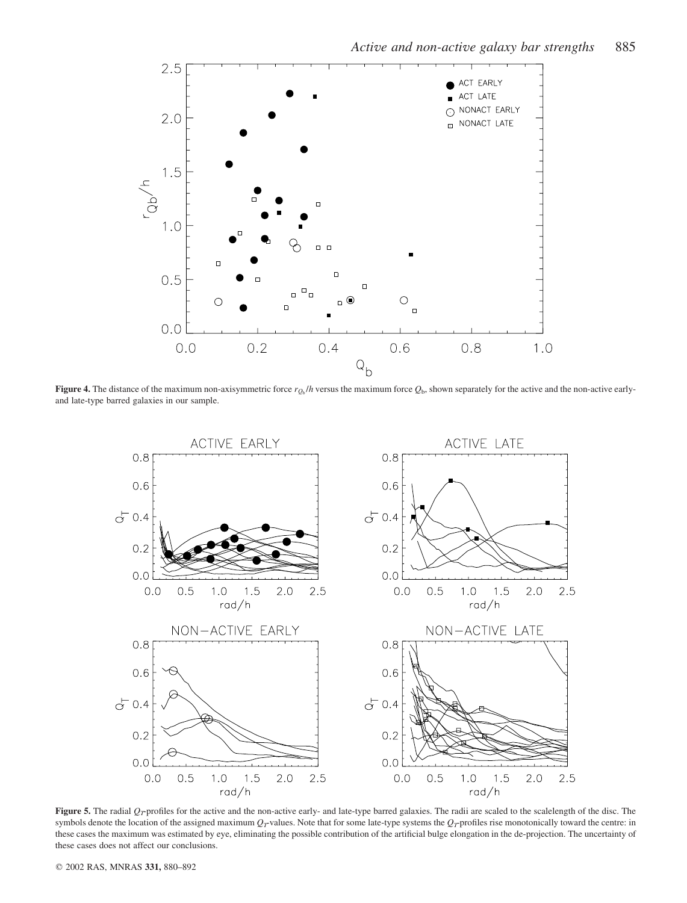

Figure 4. The distance of the maximum non-axisymmetric force  $r_{O<sub>b</sub>}$  /h versus the maximum force  $Q<sub>b</sub>$ , shown separately for the active and the non-active earlyand late-type barred galaxies in our sample.



Figure 5. The radial  $Q_T$ -profiles for the active and the non-active early- and late-type barred galaxies. The radii are scaled to the scalelength of the disc. The symbols denote the location of the assigned maximum  $Q_T$ -values. Note that for some late-type systems the  $Q_T$ -profiles rise monotonically toward the centre: in these cases the maximum was estimated by eye, eliminating the possible contribution of the artificial bulge elongation in the de-projection. The uncertainty of these cases does not affect our conclusions.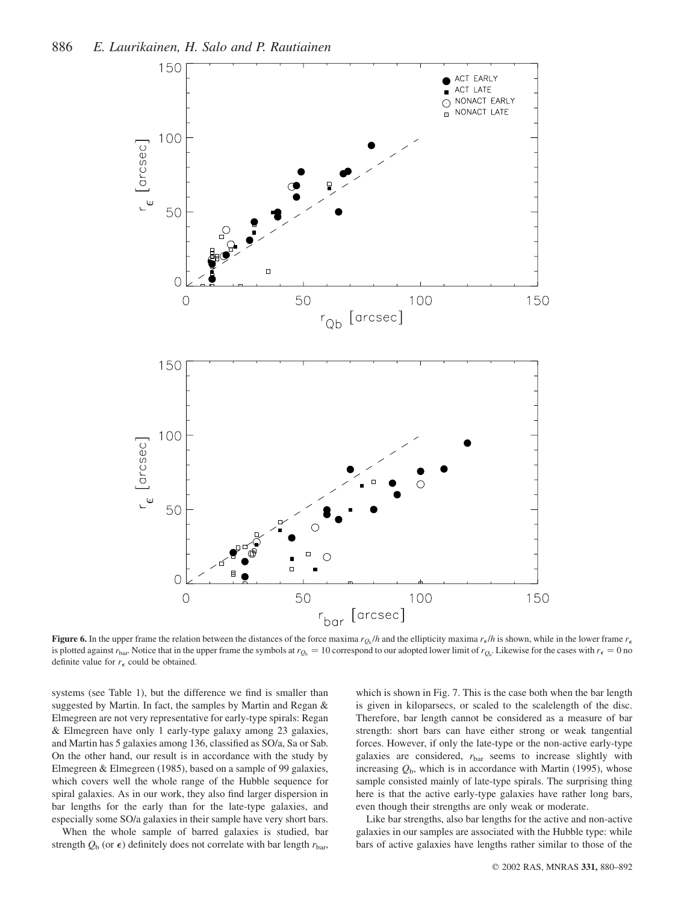

**Figure 6.** In the upper frame the relation between the distances of the force maxima  $r_{\rm g}$ ,  $/h$  and the ellipticity maxima  $r_{\rm e}/h$  is shown, while in the lower frame  $r_{\rm e}$ is plotted against  $r_{\text{bar}}$ . Notice that in the upper frame the symbols at  $r_{\text{Q}_b} = 10$  correspond to our adopted lower limit of  $r_{\text{Q}_b}$ . Likewise for the cases with  $r_{\epsilon} = 0$  no definite value for  $r_{\epsilon}$  could be obtained.

systems (see Table 1), but the difference we find is smaller than suggested by Martin. In fact, the samples by Martin and Regan & Elmegreen are not very representative for early-type spirals: Regan & Elmegreen have only 1 early-type galaxy among 23 galaxies, and Martin has 5 galaxies among 136, classified as SO/a, Sa or Sab. On the other hand, our result is in accordance with the study by Elmegreen & Elmegreen (1985), based on a sample of 99 galaxies, which covers well the whole range of the Hubble sequence for spiral galaxies. As in our work, they also find larger dispersion in bar lengths for the early than for the late-type galaxies, and especially some SO/a galaxies in their sample have very short bars.

When the whole sample of barred galaxies is studied, bar strength  $Q_b$  (or  $\epsilon$ ) definitely does not correlate with bar length  $r_{bar}$ ,

which is shown in Fig. 7. This is the case both when the bar length is given in kiloparsecs, or scaled to the scalelength of the disc. Therefore, bar length cannot be considered as a measure of bar strength: short bars can have either strong or weak tangential forces. However, if only the late-type or the non-active early-type galaxies are considered,  $r_{\text{bar}}$  seems to increase slightly with increasing  $Q<sub>b</sub>$ , which is in accordance with Martin (1995), whose sample consisted mainly of late-type spirals. The surprising thing here is that the active early-type galaxies have rather long bars, even though their strengths are only weak or moderate.

Like bar strengths, also bar lengths for the active and non-active galaxies in our samples are associated with the Hubble type: while bars of active galaxies have lengths rather similar to those of the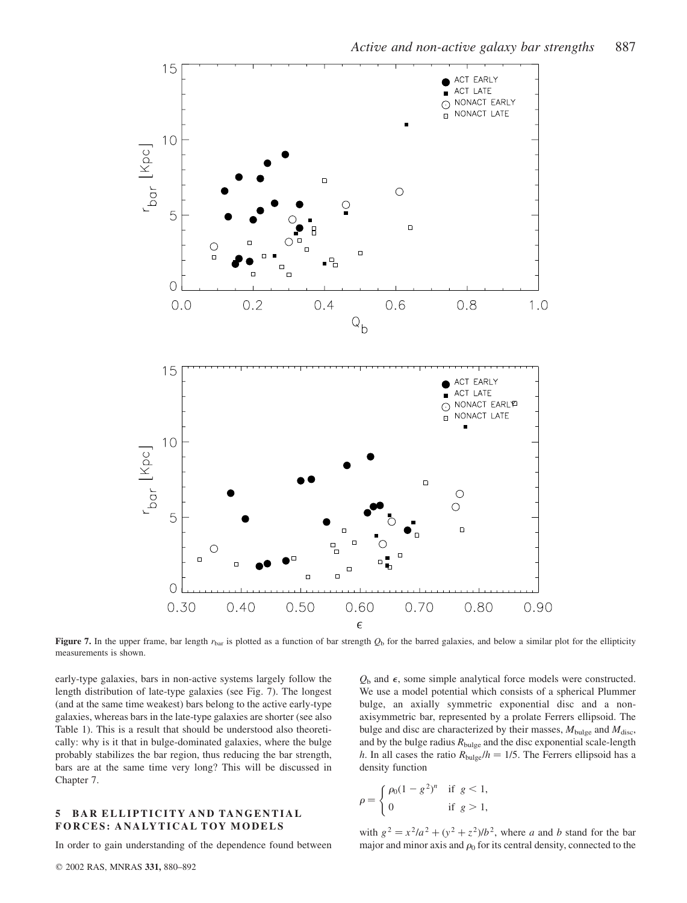

 $0.6$ 

 $0.8$ 

 $1.0$ 



 $0.4$ 

Figure 7. In the upper frame, bar length  $r_{bar}$  is plotted as a function of bar strength  $Q_b$  for the barred galaxies, and below a similar plot for the ellipticity measurements is shown.

early-type galaxies, bars in non-active systems largely follow the length distribution of late-type galaxies (see Fig. 7). The longest (and at the same time weakest) bars belong to the active early-type galaxies, whereas bars in the late-type galaxies are shorter (see also Table 1). This is a result that should be understood also theoretically: why is it that in bulge-dominated galaxies, where the bulge probably stabilizes the bar region, thus reducing the bar strength, bars are at the same time very long? This will be discussed in Chapter 7.

15

 $10$ 

5

 $\overline{O}$ 

 $0.0$ 

 $0.2$ 

 $r_{\text{Dor}}$  [Kpc]

#### 5 BAR ELLIPTICITY AND TANGENTIAL FORCES: ANALYTICAL TOY MODELS

In order to gain understanding of the dependence found between

 $Q<sub>b</sub>$  and  $\epsilon$ , some simple analytical force models were constructed. We use a model potential which consists of a spherical Plummer bulge, an axially symmetric exponential disc and a nonaxisymmetric bar, represented by a prolate Ferrers ellipsoid. The bulge and disc are characterized by their masses,  $M_{bulge}$  and  $M_{disc}$ , and by the bulge radius  $R_{bulge}$  and the disc exponential scale-length h. In all cases the ratio  $R_{bulge}/h = 1/5$ . The Ferrers ellipsoid has a density function

$$
\rho = \begin{cases} \rho_0 (1 - g^2)^n & \text{if } g < 1, \\ 0 & \text{if } g > 1, \end{cases}
$$

with  $g^2 = x^2/a^2 + (y^2 + z^2)/b^2$ , where a and b stand for the bar major and minor axis and  $\rho_0$  for its central density, connected to the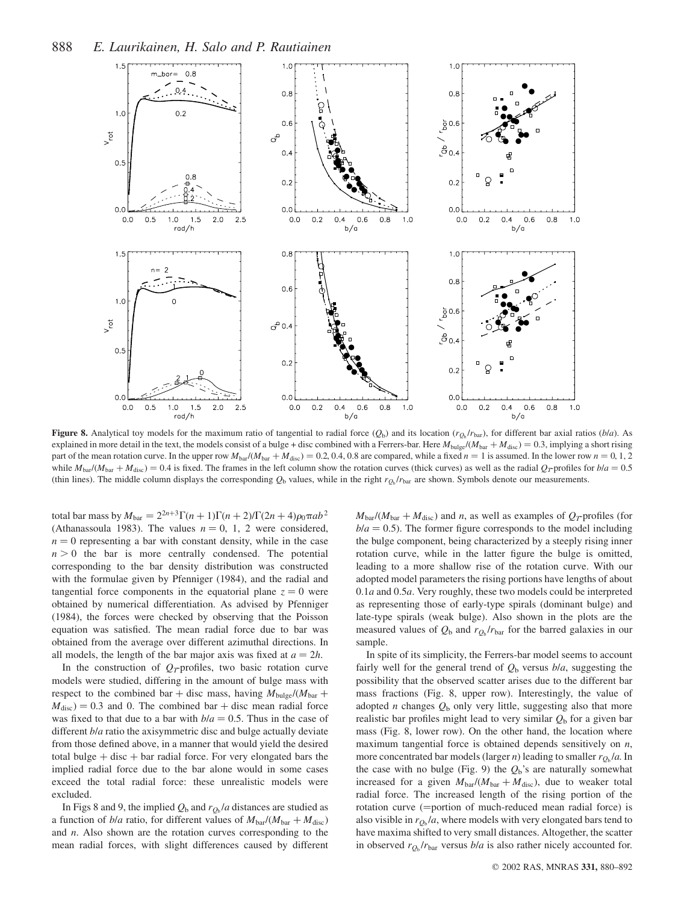

Figure 8. Analytical toy models for the maximum ratio of tangential to radial force  $(Q_b)$  and its location  $(r_{Q_b}/r_{bar})$ , for different bar axial ratios  $(b/a)$ . As explained in more detail in the text, the models consist of a bulge + disc combined with a Ferrers-bar. Here  $M_{bulge}/(M_{bar} + M_{disc}) = 0.3$ , implying a short rising part of the mean rotation curve. In the upper row  $M_{\text{bar}}/(M_{\text{bar}} + M_{\text{disc}}) = 0.2, 0.4, 0.8$  are compared, while a fixed  $n = 1$  is assumed. In the lower row  $n = 0, 1, 2$ while  $M_{bar}/(M_{bar} + M_{disc}) = 0.4$  is fixed. The frames in the left column show the rotation curves (thick curves) as well as the radial  $Q_T$ -profiles for  $b/a = 0.5$ (thin lines). The middle column displays the corresponding  $Q_b$  values, while in the right  $r_{Q_b}/r_{bar}$  are shown. Symbols denote our measurements.

total bar mass by  $M_{\text{bar}} = 2^{2n+3} \Gamma(n+1) \Gamma(n+2)/\Gamma(2n+4) \rho_0 \pi a b^2$ (Athanassoula 1983). The values  $n = 0, 1, 2$  were considered,  $n = 0$  representing a bar with constant density, while in the case  $n > 0$  the bar is more centrally condensed. The potential corresponding to the bar density distribution was constructed with the formulae given by Pfenniger (1984), and the radial and tangential force components in the equatorial plane  $z = 0$  were obtained by numerical differentiation. As advised by Pfenniger (1984), the forces were checked by observing that the Poisson equation was satisfied. The mean radial force due to bar was obtained from the average over different azimuthal directions. In all models, the length of the bar major axis was fixed at  $a = 2h$ .

In the construction of  $Q_T$ -profiles, two basic rotation curve models were studied, differing in the amount of bulge mass with respect to the combined bar + disc mass, having  $M_{bulge}/(M_{bar} +$  $M<sub>disc</sub>$  = 0.3 and 0. The combined bar + disc mean radial force was fixed to that due to a bar with  $b/a = 0.5$ . Thus in the case of different *bla* ratio the axisymmetric disc and bulge actually deviate from those defined above, in a manner that would yield the desired total bulge  $+$  disc  $+$  bar radial force. For very elongated bars the implied radial force due to the bar alone would in some cases exceed the total radial force: these unrealistic models were excluded.

In Figs 8 and 9, the implied  $Q_b$  and  $r_{Q_b}$ /a distances are studied as a function of b/a ratio, for different values of  $M_{\text{bar}}/(M_{\text{bar}}+M_{\text{disc}})$ and  $n$ . Also shown are the rotation curves corresponding to the mean radial forces, with slight differences caused by different

 $M_{\text{bar}}/(\dot{M}_{\text{bar}} + \dot{M}_{\text{disc}})$  and n, as well as examples of  $Q_T$ -profiles (for  $b/a = 0.5$ ). The former figure corresponds to the model including the bulge component, being characterized by a steeply rising inner rotation curve, while in the latter figure the bulge is omitted, leading to a more shallow rise of the rotation curve. With our adopted model parameters the rising portions have lengths of about 0.1a and 0.5a. Very roughly, these two models could be interpreted as representing those of early-type spirals (dominant bulge) and late-type spirals (weak bulge). Also shown in the plots are the measured values of  $Q_b$  and  $r_{O_b} / r_{bar}$  for the barred galaxies in our sample.

In spite of its simplicity, the Ferrers-bar model seems to account fairly well for the general trend of  $Q<sub>b</sub>$  versus  $b/a$ , suggesting the possibility that the observed scatter arises due to the different bar mass fractions (Fig. 8, upper row). Interestingly, the value of adopted *n* changes  $Q<sub>b</sub>$  only very little, suggesting also that more realistic bar profiles might lead to very similar  $Q<sub>b</sub>$  for a given bar mass (Fig. 8, lower row). On the other hand, the location where maximum tangential force is obtained depends sensitively on  $n$ , more concentrated bar models (larger *n*) leading to smaller  $r_{O<sub>b</sub>}/a$ . In the case with no bulge (Fig. 9) the  $Q<sub>b</sub>$ 's are naturally somewhat increased for a given  $M_{\text{bar}}/(M_{\text{bar}}+M_{\text{disc}})$ , due to weaker total radial force. The increased length of the rising portion of the rotation curve  $(=$ portion of much-reduced mean radial force) is also visible in  $r_{Q_b}/a$ , where models with very elongated bars tend to have maxima shifted to very small distances. Altogether, the scatter in observed  $r_{Q<sub>b</sub>}/r_{bar}$  versus  $b/a$  is also rather nicely accounted for.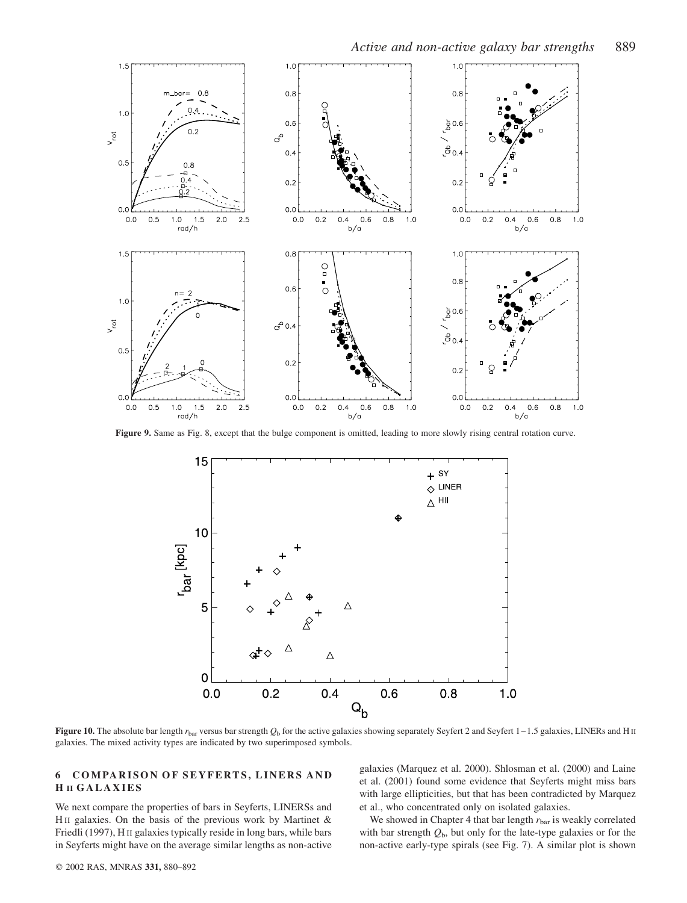

Figure 9. Same as Fig. 8, except that the bulge component is omitted, leading to more slowly rising central rotation curve.



Figure 10. The absolute bar length  $r_{\text{bar}}$  versus bar strength  $Q_{\text{b}}$  for the active galaxies showing separately Seyfert 2 and Seyfert 1–1.5 galaxies, LINERs and H II galaxies. The mixed activity types are indicated by two superimposed symbols.

## 6 COMPARISON OF SEYFERTS, LINERS AND H II GALAXIES

We next compare the properties of bars in Seyferts, LINERSs and HII galaxies. On the basis of the previous work by Martinet  $\&$ Friedli (1997), H II galaxies typically reside in long bars, while bars in Seyferts might have on the average similar lengths as non-active

galaxies (Marquez et al. 2000). Shlosman et al. (2000) and Laine et al. (2001) found some evidence that Seyferts might miss bars with large ellipticities, but that has been contradicted by Marquez et al., who concentrated only on isolated galaxies.

We showed in Chapter 4 that bar length  $r_{\text{bar}}$  is weakly correlated with bar strength  $Q<sub>b</sub>$ , but only for the late-type galaxies or for the non-active early-type spirals (see Fig. 7). A similar plot is shown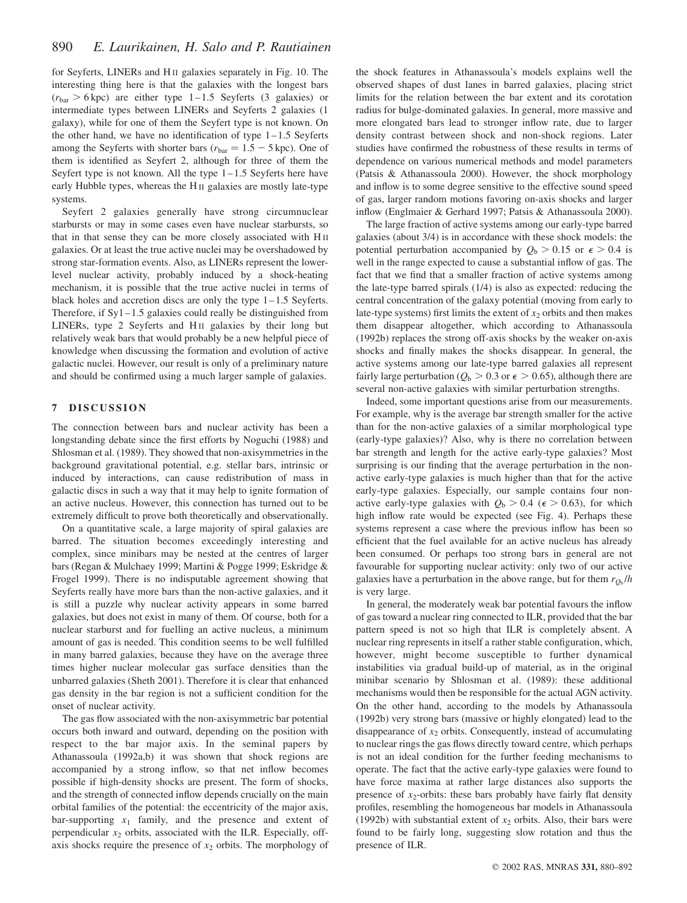for Seyferts, LINERs and H II galaxies separately in Fig. 10. The interesting thing here is that the galaxies with the longest bars  $(r<sub>bar</sub> > 6 kpc)$  are either type 1–1.5 Seyferts (3 galaxies) or intermediate types between LINERs and Seyferts 2 galaxies (1 galaxy), while for one of them the Seyfert type is not known. On the other hand, we have no identification of type  $1-1.5$  Seyferts among the Seyferts with shorter bars ( $r_{\text{bar}} = 1.5 - 5$  kpc). One of them is identified as Seyfert 2, although for three of them the Seyfert type is not known. All the type  $1-1.5$  Seyferts here have early Hubble types, whereas the H II galaxies are mostly late-type systems.

Seyfert 2 galaxies generally have strong circumnuclear starbursts or may in some cases even have nuclear starbursts, so that in that sense they can be more closely associated with H II galaxies. Or at least the true active nuclei may be overshadowed by strong star-formation events. Also, as LINERs represent the lowerlevel nuclear activity, probably induced by a shock-heating mechanism, it is possible that the true active nuclei in terms of black holes and accretion discs are only the type  $1-1.5$  Seyferts. Therefore, if  $Syl-1.5$  galaxies could really be distinguished from LINERs, type 2 Seyferts and H<sub>II</sub> galaxies by their long but relatively weak bars that would probably be a new helpful piece of knowledge when discussing the formation and evolution of active galactic nuclei. However, our result is only of a preliminary nature and should be confirmed using a much larger sample of galaxies.

### 7 DISCUSSION

The connection between bars and nuclear activity has been a longstanding debate since the first efforts by Noguchi (1988) and Shlosman et al. (1989). They showed that non-axisymmetries in the background gravitational potential, e.g. stellar bars, intrinsic or induced by interactions, can cause redistribution of mass in galactic discs in such a way that it may help to ignite formation of an active nucleus. However, this connection has turned out to be extremely difficult to prove both theoretically and observationally.

On a quantitative scale, a large majority of spiral galaxies are barred. The situation becomes exceedingly interesting and complex, since minibars may be nested at the centres of larger bars (Regan & Mulchaey 1999; Martini & Pogge 1999; Eskridge & Frogel 1999). There is no indisputable agreement showing that Seyferts really have more bars than the non-active galaxies, and it is still a puzzle why nuclear activity appears in some barred galaxies, but does not exist in many of them. Of course, both for a nuclear starburst and for fuelling an active nucleus, a minimum amount of gas is needed. This condition seems to be well fulfilled in many barred galaxies, because they have on the average three times higher nuclear molecular gas surface densities than the unbarred galaxies (Sheth 2001). Therefore it is clear that enhanced gas density in the bar region is not a sufficient condition for the onset of nuclear activity.

The gas flow associated with the non-axisymmetric bar potential occurs both inward and outward, depending on the position with respect to the bar major axis. In the seminal papers by Athanassoula (1992a,b) it was shown that shock regions are accompanied by a strong inflow, so that net inflow becomes possible if high-density shocks are present. The form of shocks, and the strength of connected inflow depends crucially on the main orbital families of the potential: the eccentricity of the major axis, bar-supporting  $x_1$  family, and the presence and extent of perpendicular  $x_2$  orbits, associated with the ILR. Especially, offaxis shocks require the presence of  $x_2$  orbits. The morphology of

the shock features in Athanassoula's models explains well the observed shapes of dust lanes in barred galaxies, placing strict limits for the relation between the bar extent and its corotation radius for bulge-dominated galaxies. In general, more massive and more elongated bars lead to stronger inflow rate, due to larger density contrast between shock and non-shock regions. Later studies have confirmed the robustness of these results in terms of dependence on various numerical methods and model parameters (Patsis & Athanassoula 2000). However, the shock morphology and inflow is to some degree sensitive to the effective sound speed of gas, larger random motions favoring on-axis shocks and larger inflow (Englmaier & Gerhard 1997; Patsis & Athanassoula 2000).

The large fraction of active systems among our early-type barred galaxies (about 3/4) is in accordance with these shock models: the potential perturbation accompanied by  $Q_b > 0.15$  or  $\epsilon > 0.4$  is well in the range expected to cause a substantial inflow of gas. The fact that we find that a smaller fraction of active systems among the late-type barred spirals (1/4) is also as expected: reducing the central concentration of the galaxy potential (moving from early to late-type systems) first limits the extent of  $x_2$  orbits and then makes them disappear altogether, which according to Athanassoula (1992b) replaces the strong off-axis shocks by the weaker on-axis shocks and finally makes the shocks disappear. In general, the active systems among our late-type barred galaxies all represent fairly large perturbation ( $Q_b > 0.3$  or  $\epsilon > 0.65$ ), although there are several non-active galaxies with similar perturbation strengths.

Indeed, some important questions arise from our measurements. For example, why is the average bar strength smaller for the active than for the non-active galaxies of a similar morphological type (early-type galaxies)? Also, why is there no correlation between bar strength and length for the active early-type galaxies? Most surprising is our finding that the average perturbation in the nonactive early-type galaxies is much higher than that for the active early-type galaxies. Especially, our sample contains four nonactive early-type galaxies with  $Q<sub>b</sub> > 0.4$  ( $\epsilon > 0.63$ ), for which high inflow rate would be expected (see Fig. 4). Perhaps these systems represent a case where the previous inflow has been so efficient that the fuel available for an active nucleus has already been consumed. Or perhaps too strong bars in general are not favourable for supporting nuclear activity: only two of our active galaxies have a perturbation in the above range, but for them  $r_{O<sub>b</sub>}/h$ is very large.

In general, the moderately weak bar potential favours the inflow of gas toward a nuclear ring connected to ILR, provided that the bar pattern speed is not so high that ILR is completely absent. A nuclear ring represents in itself a rather stable configuration, which, however, might become susceptible to further dynamical instabilities via gradual build-up of material, as in the original minibar scenario by Shlosman et al. (1989): these additional mechanisms would then be responsible for the actual AGN activity. On the other hand, according to the models by Athanassoula (1992b) very strong bars (massive or highly elongated) lead to the disappearance of  $x_2$  orbits. Consequently, instead of accumulating to nuclear rings the gas flows directly toward centre, which perhaps is not an ideal condition for the further feeding mechanisms to operate. The fact that the active early-type galaxies were found to have force maxima at rather large distances also supports the presence of  $x_2$ -orbits: these bars probably have fairly flat density profiles, resembling the homogeneous bar models in Athanassoula (1992b) with substantial extent of  $x_2$  orbits. Also, their bars were found to be fairly long, suggesting slow rotation and thus the presence of ILR.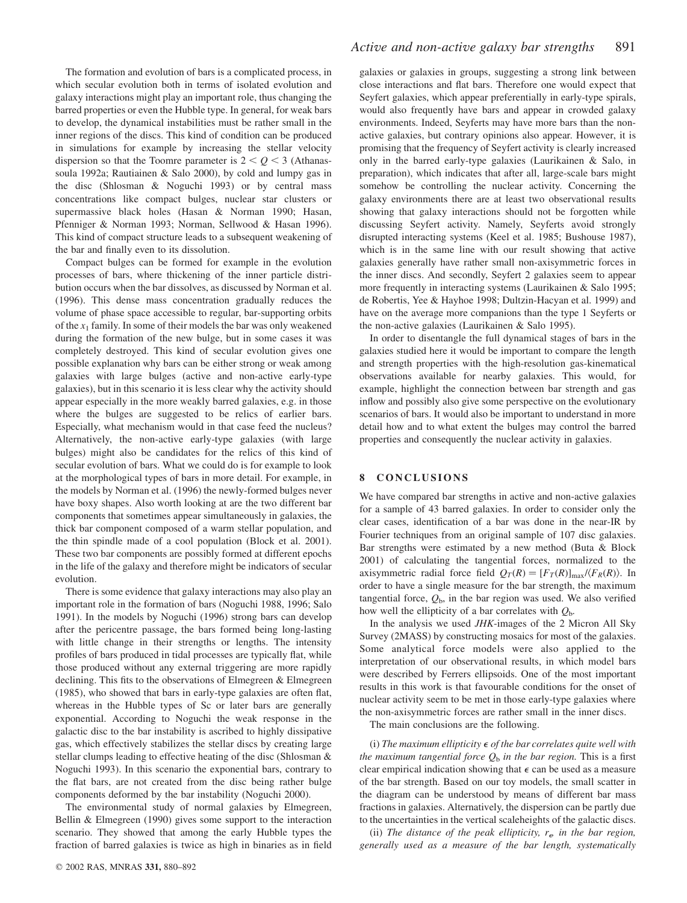The formation and evolution of bars is a complicated process, in which secular evolution both in terms of isolated evolution and galaxy interactions might play an important role, thus changing the barred properties or even the Hubble type. In general, for weak bars to develop, the dynamical instabilities must be rather small in the inner regions of the discs. This kind of condition can be produced in simulations for example by increasing the stellar velocity dispersion so that the Toomre parameter is  $2 < Q < 3$  (Athanassoula 1992a; Rautiainen & Salo 2000), by cold and lumpy gas in the disc (Shlosman & Noguchi 1993) or by central mass concentrations like compact bulges, nuclear star clusters or supermassive black holes (Hasan & Norman 1990; Hasan, Pfenniger & Norman 1993; Norman, Sellwood & Hasan 1996). This kind of compact structure leads to a subsequent weakening of the bar and finally even to its dissolution.

Compact bulges can be formed for example in the evolution processes of bars, where thickening of the inner particle distribution occurs when the bar dissolves, as discussed by Norman et al. (1996). This dense mass concentration gradually reduces the volume of phase space accessible to regular, bar-supporting orbits of the  $x_1$  family. In some of their models the bar was only weakened during the formation of the new bulge, but in some cases it was completely destroyed. This kind of secular evolution gives one possible explanation why bars can be either strong or weak among galaxies with large bulges (active and non-active early-type galaxies), but in this scenario it is less clear why the activity should appear especially in the more weakly barred galaxies, e.g. in those where the bulges are suggested to be relics of earlier bars. Especially, what mechanism would in that case feed the nucleus? Alternatively, the non-active early-type galaxies (with large bulges) might also be candidates for the relics of this kind of secular evolution of bars. What we could do is for example to look at the morphological types of bars in more detail. For example, in the models by Norman et al. (1996) the newly-formed bulges never have boxy shapes. Also worth looking at are the two different bar components that sometimes appear simultaneously in galaxies, the thick bar component composed of a warm stellar population, and the thin spindle made of a cool population (Block et al. 2001). These two bar components are possibly formed at different epochs in the life of the galaxy and therefore might be indicators of secular evolution.

There is some evidence that galaxy interactions may also play an important role in the formation of bars (Noguchi 1988, 1996; Salo 1991). In the models by Noguchi (1996) strong bars can develop after the pericentre passage, the bars formed being long-lasting with little change in their strengths or lengths. The intensity profiles of bars produced in tidal processes are typically flat, while those produced without any external triggering are more rapidly declining. This fits to the observations of Elmegreen & Elmegreen (1985), who showed that bars in early-type galaxies are often flat, whereas in the Hubble types of Sc or later bars are generally exponential. According to Noguchi the weak response in the galactic disc to the bar instability is ascribed to highly dissipative gas, which effectively stabilizes the stellar discs by creating large stellar clumps leading to effective heating of the disc (Shlosman & Noguchi 1993). In this scenario the exponential bars, contrary to the flat bars, are not created from the disc being rather bulge components deformed by the bar instability (Noguchi 2000).

The environmental study of normal galaxies by Elmegreen, Bellin & Elmegreen (1990) gives some support to the interaction scenario. They showed that among the early Hubble types the fraction of barred galaxies is twice as high in binaries as in field galaxies or galaxies in groups, suggesting a strong link between close interactions and flat bars. Therefore one would expect that Seyfert galaxies, which appear preferentially in early-type spirals, would also frequently have bars and appear in crowded galaxy environments. Indeed, Seyferts may have more bars than the nonactive galaxies, but contrary opinions also appear. However, it is promising that the frequency of Seyfert activity is clearly increased only in the barred early-type galaxies (Laurikainen & Salo, in preparation), which indicates that after all, large-scale bars might somehow be controlling the nuclear activity. Concerning the galaxy environments there are at least two observational results showing that galaxy interactions should not be forgotten while discussing Seyfert activity. Namely, Seyferts avoid strongly disrupted interacting systems (Keel et al. 1985; Bushouse 1987), which is in the same line with our result showing that active galaxies generally have rather small non-axisymmetric forces in the inner discs. And secondly, Seyfert 2 galaxies seem to appear more frequently in interacting systems (Laurikainen & Salo 1995; de Robertis, Yee & Hayhoe 1998; Dultzin-Hacyan et al. 1999) and have on the average more companions than the type 1 Seyferts or the non-active galaxies (Laurikainen & Salo 1995).

In order to disentangle the full dynamical stages of bars in the galaxies studied here it would be important to compare the length and strength properties with the high-resolution gas-kinematical observations available for nearby galaxies. This would, for example, highlight the connection between bar strength and gas inflow and possibly also give some perspective on the evolutionary scenarios of bars. It would also be important to understand in more detail how and to what extent the bulges may control the barred properties and consequently the nuclear activity in galaxies.

#### 8 CONCLUSIONS

We have compared bar strengths in active and non-active galaxies for a sample of 43 barred galaxies. In order to consider only the clear cases, identification of a bar was done in the near-IR by Fourier techniques from an original sample of 107 disc galaxies. Bar strengths were estimated by a new method (Buta & Block 2001) of calculating the tangential forces, normalized to the axisymmetric radial force field  $Q_T(R) = [F_T(R)]_{\text{max}}/(F_R(R))$ . In order to have a single measure for the bar strength, the maximum tangential force,  $Q<sub>b</sub>$ , in the bar region was used. We also verified how well the ellipticity of a bar correlates with  $Q<sub>b</sub>$ .

In the analysis we used JHK-images of the 2 Micron All Sky Survey (2MASS) by constructing mosaics for most of the galaxies. Some analytical force models were also applied to the interpretation of our observational results, in which model bars were described by Ferrers ellipsoids. One of the most important results in this work is that favourable conditions for the onset of nuclear activity seem to be met in those early-type galaxies where the non-axisymmetric forces are rather small in the inner discs.

The main conclusions are the following.

(i) The maximum ellipticity  $\epsilon$  of the bar correlates quite well with the maximum tangential force  $Q_b$  in the bar region. This is a first clear empirical indication showing that  $\epsilon$  can be used as a measure of the bar strength. Based on our toy models, the small scatter in the diagram can be understood by means of different bar mass fractions in galaxies. Alternatively, the dispersion can be partly due to the uncertainties in the vertical scaleheights of the galactic discs.

(ii) The distance of the peak ellipticity,  $r_e$  in the bar region, generally used as a measure of the bar length, systematically